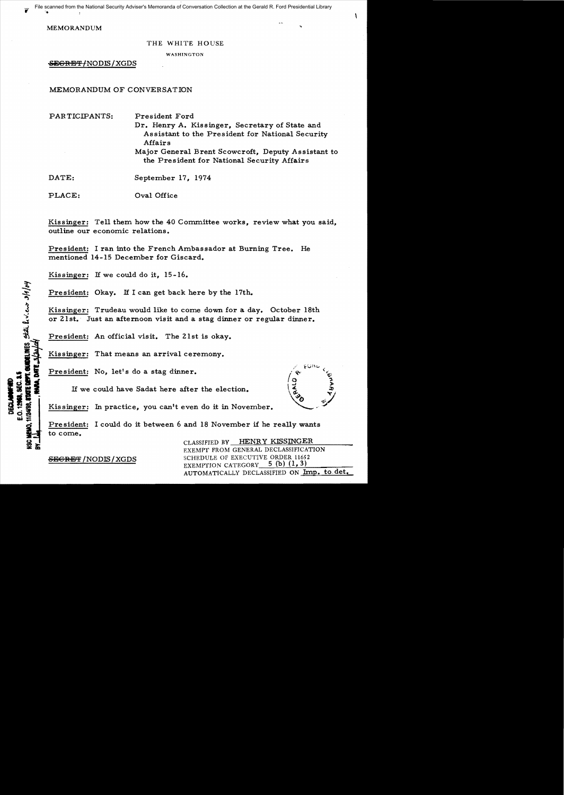File scanned from the National Security Adviser's Memoranda of Conversation Collection at the Gerald R. Ford Presidential Library

MEMORANDUM

## THE WHITE HOUSE

WASHINGTON

SEGRET/NODIS/XGDS

# MEMORANDUM OF CONVERSATION

|  |  | PARTICIPANTS: |
|--|--|---------------|
|--|--|---------------|

President Ford

Dr. Henry A. Kissinger, Secretary of State and Assistant to the President for National Security Affairs

Major General Brent Scowcroft, Deputy Assistant to the President for National Security Affairs

DATE: September 17, 1974

PLACE: Oval Office

Kissinger: Tell them how the 40 Committee works, review what you said, outline our economic relations.

President: I ran into the French Ambassador at Burning Tree. He mentioned 14-15 December for Giscard.

Kissinger: If we could do it, 15-16.

President: Okay. If I can get back here by the 17th.

Kissinger: Trudeau would like to come down for a day. October 18th or 21st. Just an afternoon visit and a stag dinner or regular dinner.

President: An official visit. The 21st is okay.

Kissinger: That means an arrival ceremony.

President: No. let's do a stag dinner.

If we could have Sadat here after the election.

Kissinger: In practice, you can't even do it in November.

President: I could do it between 6 and 18 November if he really wants to come.

CLASSIFIED BY HENRY KISSINGER EXEMPT FROM GENERAL DECLASSIFICATION SECRET / NODIS / XGDS SCHEDULE OF EXECUTIVE ORDER 11652 EXEMPTION CATEGORY  $5$  (b) (1, 3) AUTOMATICALLY DECLASSIFIED ON Imp. to det.

**FACE DEPT. CURDELINES** SEAL LIVILATION

**RA. DATE** 

11/24/98.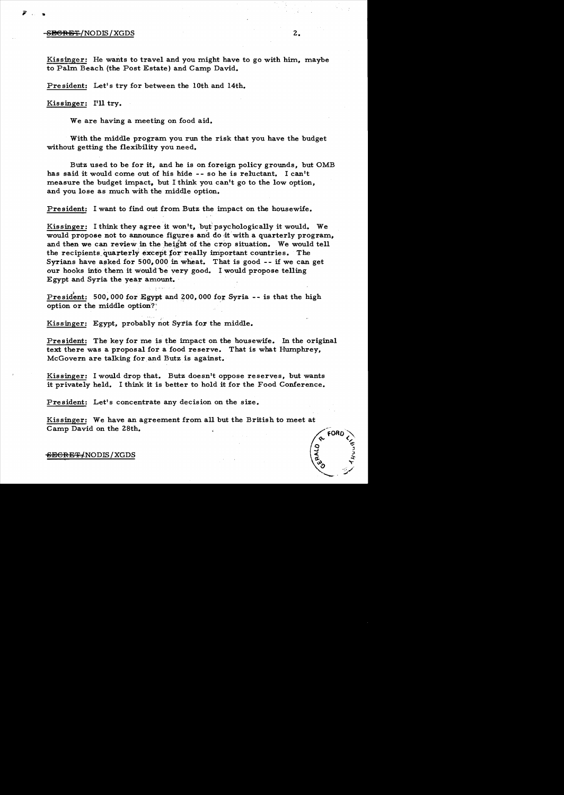## $S$  be seen as  $\mathbb{R}$  in the set of  $\mathbb{R}$  . In the set of  $\mathbb{R}$  is  $2$  ,  $\mathbb{R}$

,..

Kissinger: He wants to travel and you might have to go with him, maybe to Palm Beach (the Post Estate) and Camp David.

President: Let's try for between the 10th and 14th.

Kissinger: I'll try.

We are having a meeting on food aid.

With the middle program you run the risk that you have the budget without getting the flexibility you need.

Butz used to be for it, and he is on foreign policy grounds, but OMB has said it would come out of his hide -- so he is reluctant. I can't measure the budget impact, but I think you can't go to the low option, and you lose as much with the middle option.

President: I want to find out from Butz the impact on the housewife.

Kissinger: I think they agree it won't, but psychologically it would. We would propose not to announce figures and do it with a quarterly program, and then we can review in the height of the crop situation. We would tell the recipients quarterly except for really important countries. The Syrians have asked for 500,000 in wheat. That is good  $-$ - if we can get our hooks into them it would be very good. I would propose telling Egypt and Syria the year amount.

President: 500,000 for Egypt and 200,000 for Syria -- is that the high option or the middle option?

Kissinger: Egypt, probably not Syria for the middle.

President: The key for me is the impact on the housewife. In the original text there was a proposal for a food reserve. That is what Humphrey, McGovern are talking for, and Butz is against.

Kissinger: I would drop that. Butz doesn't oppose reserves, but wants it privately held. I think it is better to hold it for the Food Conference.

President: Let's concentrate any decision on the size.

Kissinger: We have an agreement from all but the British to meet at Camp David on the 28th.

## <del>SECRET/</del>NODIS / XGDS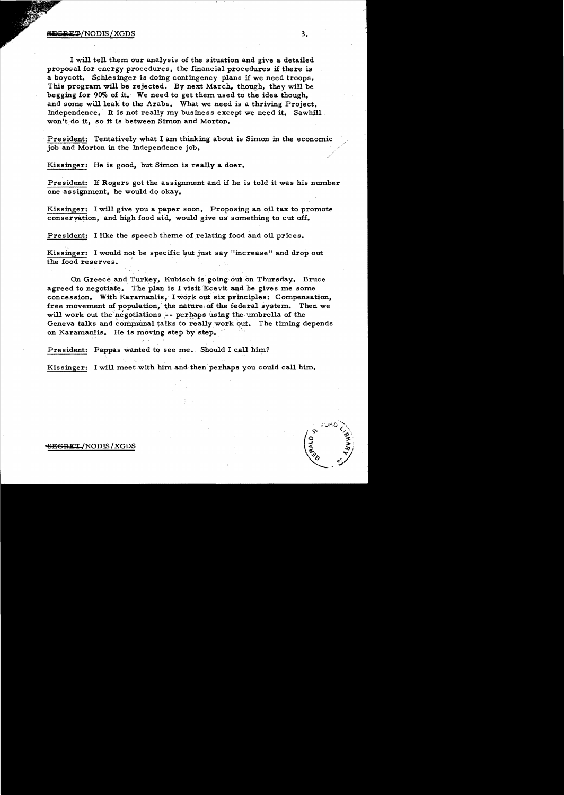I will tell them our analysis of the situation and give a detailed proposal for energy procedures, the financial procedures if there is a boycott. Schlesinger is doing contingency plans if we need troops. This program will be rejected. By next March, though, they will be begging for 90% of it. We need to get them used to the idea though, and some will leak to the Arabs. What we need is a thriving Project, Independence. It is not really my business except we need it. Sawhill won't do it, so it is between Simon and Morton.

President: Tentatively what I am thinking about is Simon in the economic job and Morton in the Independence job.

Kissinger: He is good, but Simon is really a doer.

President: If Rogers got the assignment and if he is told it was his number one assignment, he would do okay.

Kissinger: I will give you a paper soon. Proposing an oil tax to promote conservation, and high food aid, would give us something to cut off.

President: I like the speech theme of relating food and oil prices.

Kissinger: I would not be specific but just say "increase" and drop out the food reserves. '

On Greece and Turkey, Kubisch is going'out on Thursday. Bruce agreed to negotiate. The plan is I visit Ecevit and he gives me some concession. With Karamanlis, I work out six pr'inciples: Compensation, free movement of population, the nature of the federal system. Then we will work out the negotiations  $-$ - perhaps using the umbrella of the Geneva talks and communal talks to really work out. The timing depends on Karamanlis. He is moving *step* by step.

President: Pappas wanted to see me. Should I call him?

Kissinger: I will meet with him and then perhaps you could call him.

#### <del>EGRE</del>T/NODIS/XGDS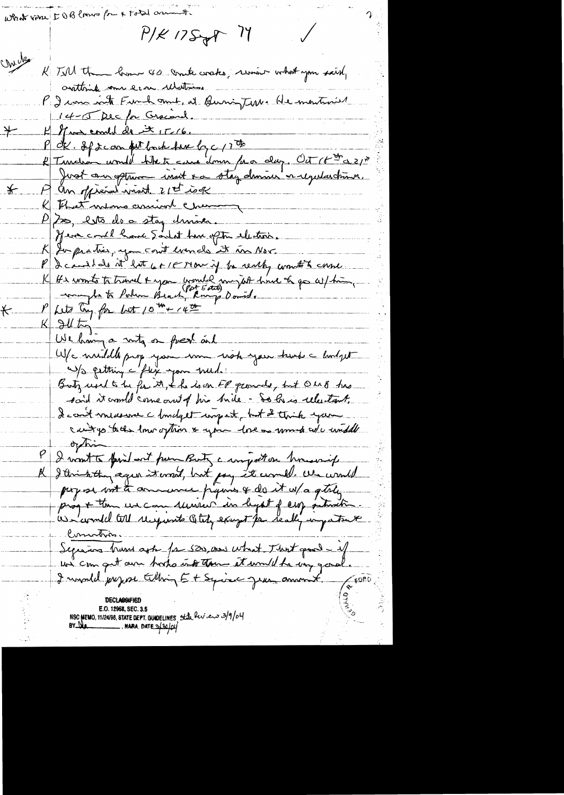What view IOB laws for a total aring  $P/K$  17 $S_{\mathcal{F}}P$  17 chule Till the bonn 40 conte coates, revision what you said, crittinik om erre ulation. P. I can inte Fund amit et Burig Terre He montraise 14-5 Dec for Graceral.  $H$  of we conclude it  $17/6$ . 大一 OK. If it can but book here by c 17 th # Turnelion would bike te came donne para dag. Oct 16 th a 21" A an official wind 21th job  $\bigstar$ K That was conion chemin  $P$   $\gtrsim$ , esta de a stay dringe. Here could have Sadat have often electron. K In practice, you cont even do it in Nov. I candido it late 6+18 row if to reach, wont to come K He wonts to travel + you would my job hime to go as/ him, Let ling for but 10th 14th  $\mathbf{r}$  $K$  all  $t$ We having a with on fresh and W/c muddle prop your som with your trends a lindgest Up petting c'Alex spon med. Butz und to be for it, the is on FP grounds, but Olio B has said it crowld corne and of his bide - So his relections. I can't measure a fundget ungest, but a thick you cant go to the low often & you have as much we winddle  $\Delta t$ I won't to find out pum Buty a wright on homewrite R I thinkthing again it errord, but pay it comell. We would payse met to annumer pyrins & do it w/a getely Comotion. Segueins trum ask for 520, and what That good - if I would prejuse tilling Et Squiec jeun amount.  $\sqrt{6000}$ NSC MEMO, 11/24/98, STATE DEPT. GUIDELINES State Rev. en 3/9/04<br>BY Na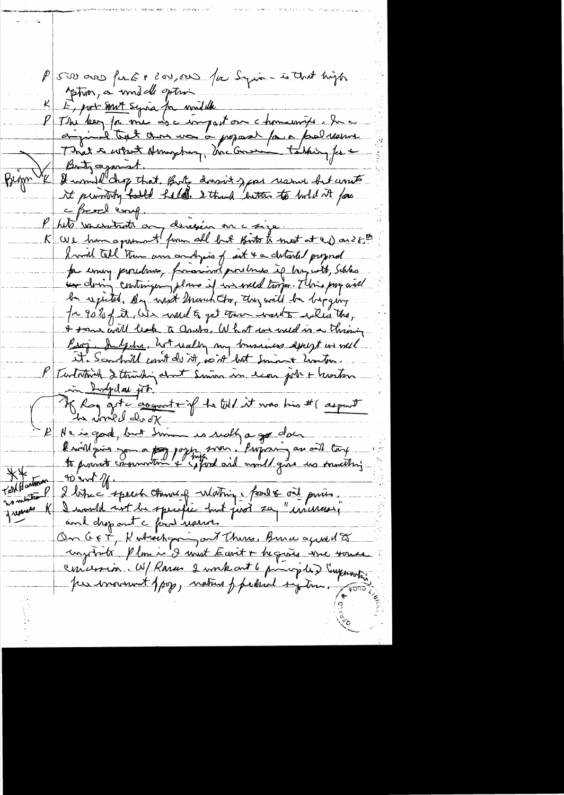P 500 ans for Ex 200,000 for Syria- is that high phon, a unil de optroi K E, port sont syria for widdle P The bey for me use imparton chomesonte have  $\beta$  into a most. Bign VK & would chop that But down't you resure but write le french comp.<br>le tite vacataite au dérivée en consigner tous de la production de la dériver de la mest at en aussi I will tell them and pist the chtarted proposed per eming procedent, franconinat procedures if has with, Schles. un doing contingen , there if we weld trops. This pay will be expected by writ march the they will be beging In 90 % of it, We would to get the wards when the, I team will leak to aprile, What we weld is a thristing Ring . Indedne, hot really my brushiss descept in well it. Sandwill can't do it, with lost Smin + Limiter. K Turtatorich 2 thinking about Simon in each job + hunting in Indydas pt. Klog got cognat f to Wel it was his # ( aspent - P Ne is good, but Simme is really a go does  $**$  $\n *W W W W W W W W W W W W W W W W W W W W W W W W W W W W W W W* <$ Territonton 2 bitres speech transfer Matin part and princes. no mention P greener K. On GET, Kuthochpan and There, Bure agreed to complants Plom is I must Eavit + begans une some concersion. W/ Rarco 2 work out 6 principles Emprovision